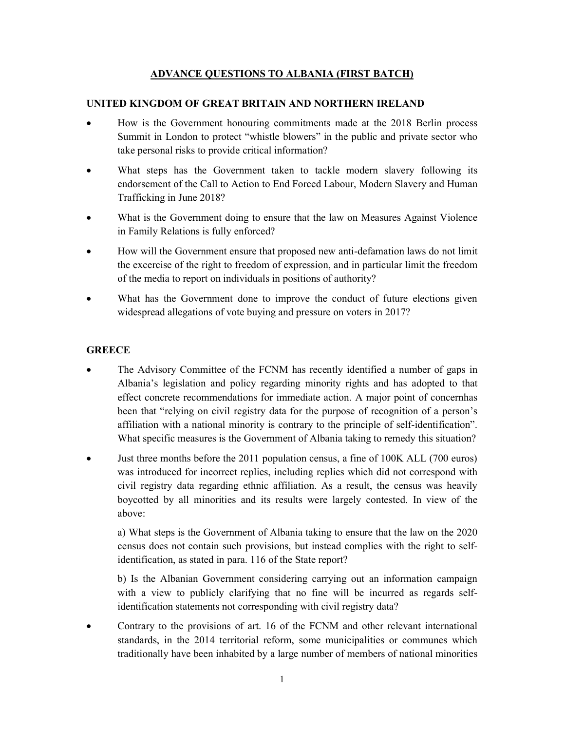### ADVANCE QUESTIONS TO ALBANIA (FIRST BATCH)

### UNITED KINGDOM OF GREAT BRITAIN AND NORTHERN IRELAND

- How is the Government honouring commitments made at the 2018 Berlin process Summit in London to protect "whistle blowers" in the public and private sector who take personal risks to provide critical information?
- What steps has the Government taken to tackle modern slavery following its endorsement of the Call to Action to End Forced Labour, Modern Slavery and Human Trafficking in June 2018?
- What is the Government doing to ensure that the law on Measures Against Violence in Family Relations is fully enforced?
- How will the Government ensure that proposed new anti-defamation laws do not limit the excercise of the right to freedom of expression, and in particular limit the freedom of the media to report on individuals in positions of authority?
- What has the Government done to improve the conduct of future elections given widespread allegations of vote buying and pressure on voters in 2017?

# **GREECE**

- The Advisory Committee of the FCNM has recently identified a number of gaps in Albania's legislation and policy regarding minority rights and has adopted to that effect concrete recommendations for immediate action. A major point of concernhas been that "relying on civil registry data for the purpose of recognition of a person's affiliation with a national minority is contrary to the principle of self-identification". What specific measures is the Government of Albania taking to remedy this situation?
- Just three months before the 2011 population census, a fine of 100K ALL (700 euros) was introduced for incorrect replies, including replies which did not correspond with civil registry data regarding ethnic affiliation. As a result, the census was heavily boycotted by all minorities and its results were largely contested. In view of the above:

a) What steps is the Government of Albania taking to ensure that the law on the 2020 census does not contain such provisions, but instead complies with the right to selfidentification, as stated in para. 116 of the State report?

b) Is the Albanian Government considering carrying out an information campaign with a view to publicly clarifying that no fine will be incurred as regards selfidentification statements not corresponding with civil registry data?

 Contrary to the provisions of art. 16 of the FCNM and other relevant international standards, in the 2014 territorial reform, some municipalities or communes which traditionally have been inhabited by a large number of members of national minorities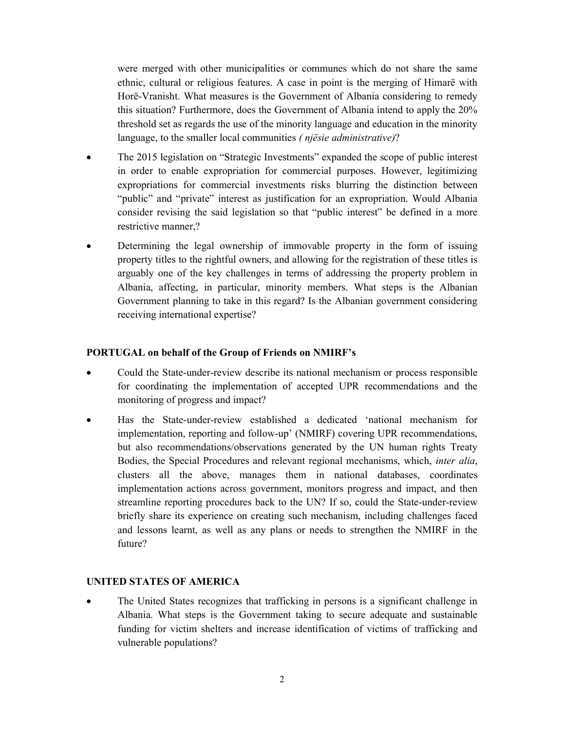were merged with other municipalities or communes which do not share the same ethnic, cultural or religious features. A case in point is the merging of Himarë with Horë-Vranisht. What measures is the Government of Albania considering to remedy this situation? Furthermore, does the Government of Albania intend to apply the 20% threshold set as regards the use of the minority language and education in the minority language, to the smaller local communities ( njësie administrative)?

- The 2015 legislation on "Strategic Investments" expanded the scope of public interest in order to enable expropriation for commercial purposes. However, legitimizing expropriations for commercial investments risks blurring the distinction between "public" and "private" interest as justification for an expropriation. Would Albania consider revising the said legislation so that "public interest" be defined in a more restrictive manner,?
- Determining the legal ownership of immovable property in the form of issuing property titles to the rightful owners, and allowing for the registration of these titles is arguably one of the key challenges in terms of addressing the property problem in Albania, affecting, in particular, minority members. What steps is the Albanian Government planning to take in this regard? Is the Albanian government considering receiving international expertise?

#### PORTUGAL on behalf of the Group of Friends on NMIRF's

- Could the State-under-review describe its national mechanism or process responsible for coordinating the implementation of accepted UPR recommendations and the monitoring of progress and impact?
- Has the State-under-review established a dedicated 'national mechanism for implementation, reporting and follow-up' (NMIRF) covering UPR recommendations, but also recommendations/observations generated by the UN human rights Treaty Bodies, the Special Procedures and relevant regional mechanisms, which, inter alia, clusters all the above, manages them in national databases, coordinates implementation actions across government, monitors progress and impact, and then streamline reporting procedures back to the UN? If so, could the State-under-review briefly share its experience on creating such mechanism, including challenges faced and lessons learnt, as well as any plans or needs to strengthen the NMIRF in the future?

#### UNITED STATES OF AMERICA

 The United States recognizes that trafficking in persons is a significant challenge in Albania. What steps is the Government taking to secure adequate and sustainable funding for victim shelters and increase identification of victims of trafficking and vulnerable populations?